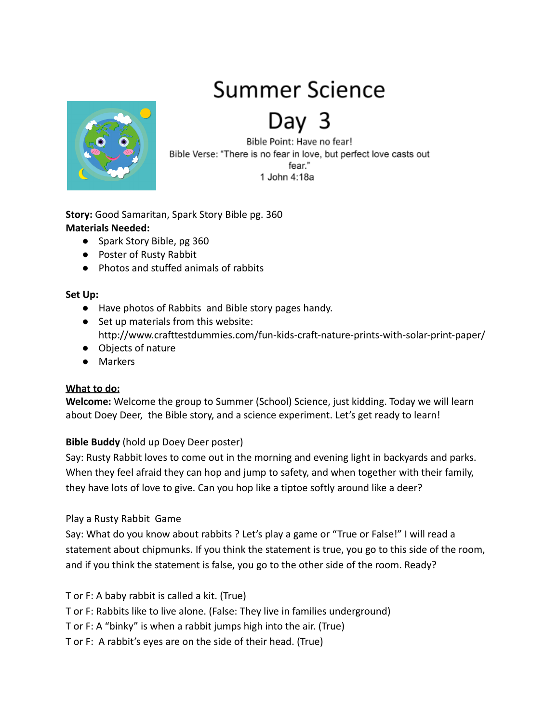# Summer Science



Day

Bible Point: Have no fear! Bible Verse: "There is no fear in love, but perfect love casts out fear." 1 John 4:18a

**Story:** Good Samaritan, Spark Story Bible pg. 360 **Materials Needed:**

- Spark Story Bible, pg 360
- Poster of Rusty Rabbit
- Photos and stuffed animals of rabbits

### **Set Up:**

- Have photos of Rabbits and Bible story pages handy.
- Set up materials from this website: http://www.crafttestdummies.com/fun-kids-craft-nature-prints-with-solar-print-paper/
- Objects of nature
- Markers

## **What to do:**

**Welcome:** Welcome the group to Summer (School) Science, just kidding. Today we will learn about Doey Deer, the Bible story, and a science experiment. Let's get ready to learn!

## **Bible Buddy** (hold up Doey Deer poster)

Say: Rusty Rabbit loves to come out in the morning and evening light in backyards and parks. When they feel afraid they can hop and jump to safety, and when together with their family, they have lots of love to give. Can you hop like a tiptoe softly around like a deer?

## Play a Rusty Rabbit Game

Say: What do you know about rabbits ? Let's play a game or "True or False!" I will read a statement about chipmunks. If you think the statement is true, you go to this side of the room, and if you think the statement is false, you go to the other side of the room. Ready?

T or F: A baby rabbit is called a kit. (True)

T or F: Rabbits like to live alone. (False: They live in families underground)

T or F: A "binky" is when a rabbit jumps high into the air. (True)

T or F: A rabbit's eyes are on the side of their head. (True)